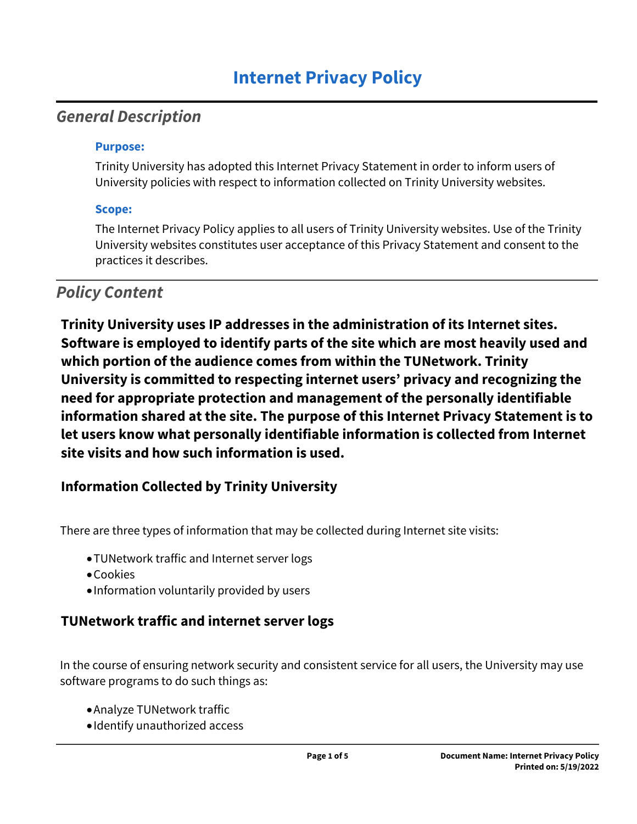# *General Description*

#### **Purpose:**

Trinity University has adopted this Internet Privacy Statement in order to inform users of University policies with respect to information collected on Trinity University websites.

### **Scope:**

The Internet Privacy Policy applies to all users of Trinity University websites. Use of the Trinity University websites constitutes user acceptance of this Privacy Statement and consent to the practices it describes.

# *Policy Content*

**Trinity University uses IP addresses in the administration of its Internet sites. Software is employed to identify parts of the site which are most heavily used and which portion of the audience comes from within the TUNetwork. Trinity University is committed to respecting internet users' privacy and recognizing the need for appropriate protection and management of the personally identifiable information shared at the site. The purpose of this Internet Privacy Statement is to let users know what personally identifiable information is collected from Internet site visits and how such information is used.** 

### **Information Collected by Trinity University**

There are three types of information that may be collected during Internet site visits:

- TUNetwork traffic and Internet server logs
- Cookies
- Information voluntarily provided by users

### **TUNetwork traffic and internet server logs**

In the course of ensuring network security and consistent service for all users, the University may use software programs to do such things as:

- Analyze TUNetwork traffic
- Identify unauthorized access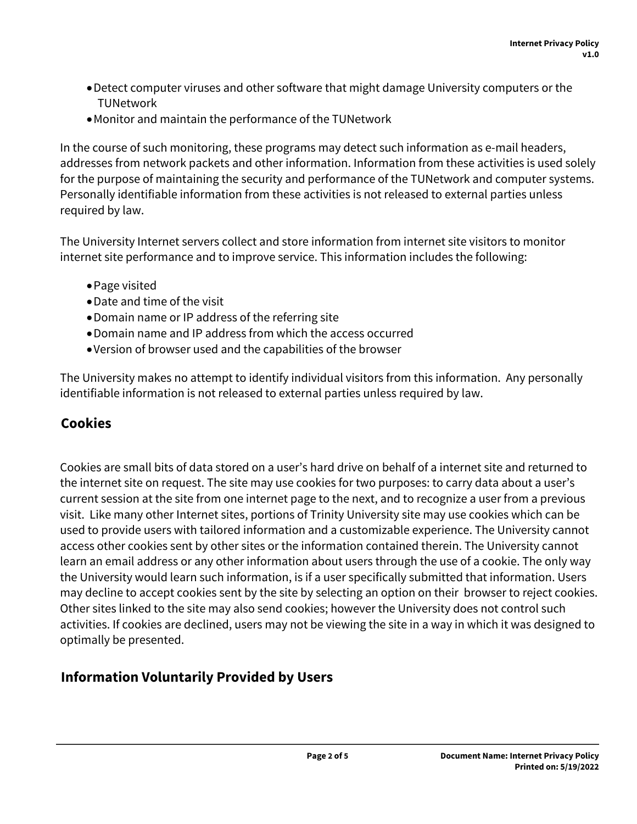- Detect computer viruses and other software that might damage University computers or the **TUNetwork**
- Monitor and maintain the performance of the TUNetwork

In the course of such monitoring, these programs may detect such information as e-mail headers, addresses from network packets and other information. Information from these activities is used solely for the purpose of maintaining the security and performance of the TUNetwork and computer systems. Personally identifiable information from these activities is not released to external parties unless required by law.

The University Internet servers collect and store information from internet site visitors to monitor internet site performance and to improve service. This information includes the following:

- Page visited
- Date and time of the visit
- Domain name or IP address of the referring site
- Domain name and IP address from which the access occurred
- Version of browser used and the capabilities of the browser

The University makes no attempt to identify individual visitors from this information. Any personally identifiable information is not released to external parties unless required by law.

### **Cookies**

Cookies are small bits of data stored on a user's hard drive on behalf of a internet site and returned to the internet site on request. The site may use cookies for two purposes: to carry data about a user's current session at the site from one internet page to the next, and to recognize a user from a previous visit. Like many other Internet sites, portions of Trinity University site may use cookies which can be used to provide users with tailored information and a customizable experience. The University cannot access other cookies sent by other sites or the information contained therein. The University cannot learn an email address or any other information about users through the use of a cookie. The only way the University would learn such information, is if a user specifically submitted that information. Users may decline to accept cookies sent by the site by selecting an option on their browser to reject cookies. Other sites linked to the site may also send cookies; however the University does not control such activities. If cookies are declined, users may not be viewing the site in a way in which it was designed to optimally be presented.

### **Information Voluntarily Provided by Users**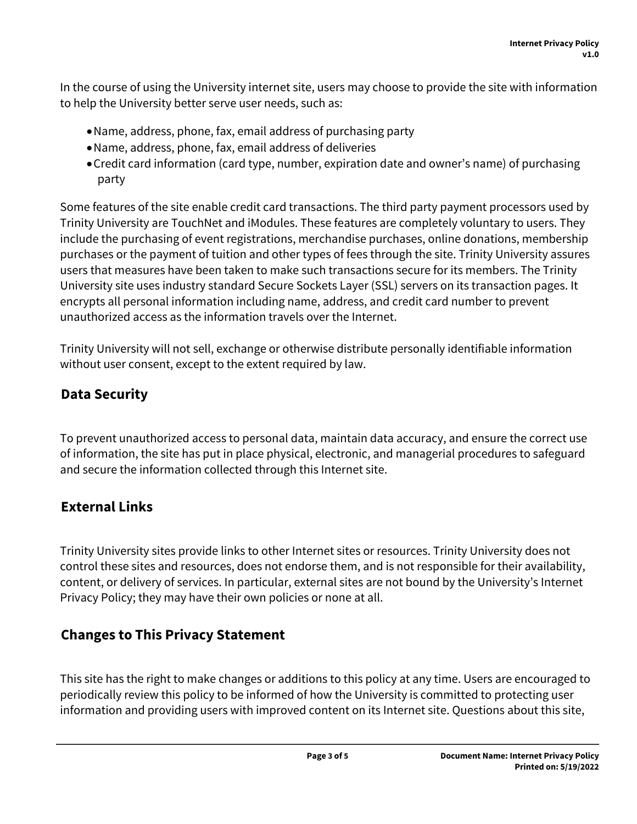In the course of using the University internet site, users may choose to provide the site with information to help the University better serve user needs, such as:

- Name, address, phone, fax, email address of purchasing party
- Name, address, phone, fax, email address of deliveries
- Credit card information (card type, number, expiration date and owner's name) of purchasing party

Some features of the site enable credit card transactions. The third party payment processors used by Trinity University are TouchNet and iModules. These features are completely voluntary to users. They include the purchasing of event registrations, merchandise purchases, online donations, membership purchases or the payment of tuition and other types of fees through the site. Trinity University assures users that measures have been taken to make such transactions secure for its members. The Trinity University site uses industry standard Secure Sockets Layer (SSL) servers on its transaction pages. It encrypts all personal information including name, address, and credit card number to prevent unauthorized access as the information travels over the Internet.

Trinity University will not sell, exchange or otherwise distribute personally identifiable information without user consent, except to the extent required by law.

### **Data Security**

To prevent unauthorized access to personal data, maintain data accuracy, and ensure the correct use of information, the site has put in place physical, electronic, and managerial procedures to safeguard and secure the information collected through this Internet site.

### **External Links**

Trinity University sites provide links to other Internet sites or resources. Trinity University does not control these sites and resources, does not endorse them, and is not responsible for their availability, content, or delivery of services. In particular, external sites are not bound by the University's Internet Privacy Policy; they may have their own policies or none at all.

### **Changes to This Privacy Statement**

This site has the right to make changes or additions to this policy at any time. Users are encouraged to periodically review this policy to be informed of how the University is committed to protecting user information and providing users with improved content on its Internet site. Questions about this site,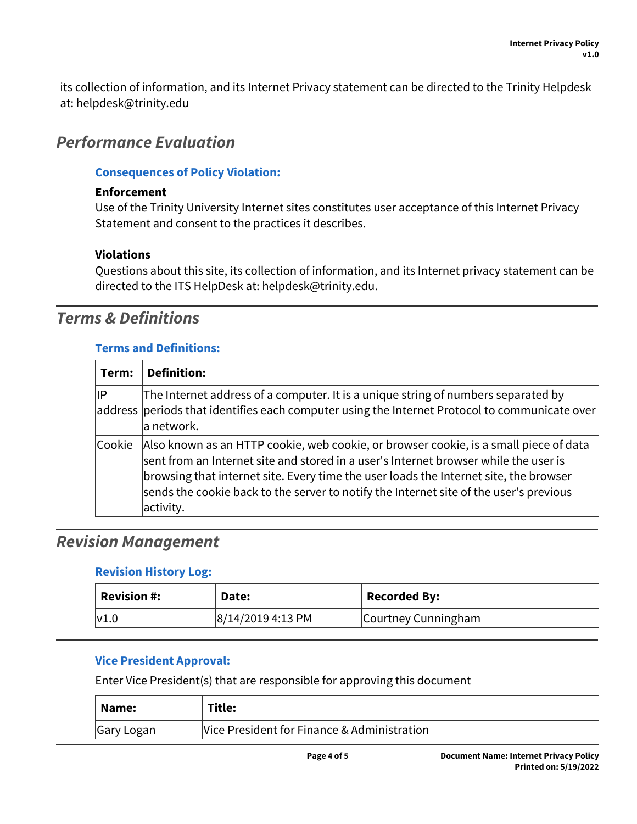its collection of information, and its Internet Privacy statement can be directed to the Trinity Helpdesk at: helpdesk@trinity.edu

# *Performance Evaluation*

#### **Consequences of Policy Violation:**

#### **Enforcement**

Use of the Trinity University Internet sites constitutes user acceptance of this Internet Privacy Statement and consent to the practices it describes.

#### **Violations**

Questions about this site, its collection of information, and its Internet privacy statement can be directed to the ITS HelpDesk at: helpdesk@trinity.edu.

# *Terms & Definitions*

#### **Terms and Definitions:**

| Term:  | <b>Definition:</b>                                                                                                                                                                                                                                                                                                                                                                |
|--------|-----------------------------------------------------------------------------------------------------------------------------------------------------------------------------------------------------------------------------------------------------------------------------------------------------------------------------------------------------------------------------------|
| ∣IP    | The Internet address of a computer. It is a unique string of numbers separated by<br>address periods that identifies each computer using the Internet Protocol to communicate over<br>∣a network.                                                                                                                                                                                 |
| Cookie | Also known as an HTTP cookie, web cookie, or browser cookie, is a small piece of data<br>$ $ sent from an Internet site and stored in a user's Internet browser while the user is<br>browsing that internet site. Every time the user loads the Internet site, the browser<br>sends the cookie back to the server to notify the Internet site of the user's previous<br>activity. |

# *Revision Management*

#### **Revision History Log:**

| <b>Revision #:</b> | Date:               | <b>Recorded By:</b> |
|--------------------|---------------------|---------------------|
| $\mathsf{V1.0}$    | $ 8/14/20194:13$ PM | Courtney Cunningham |

#### **Vice President Approval:**

Enter Vice President(s) that are responsible for approving this document

| Name:      | Title:                                      |
|------------|---------------------------------------------|
| Gary Logan | Vice President for Finance & Administration |